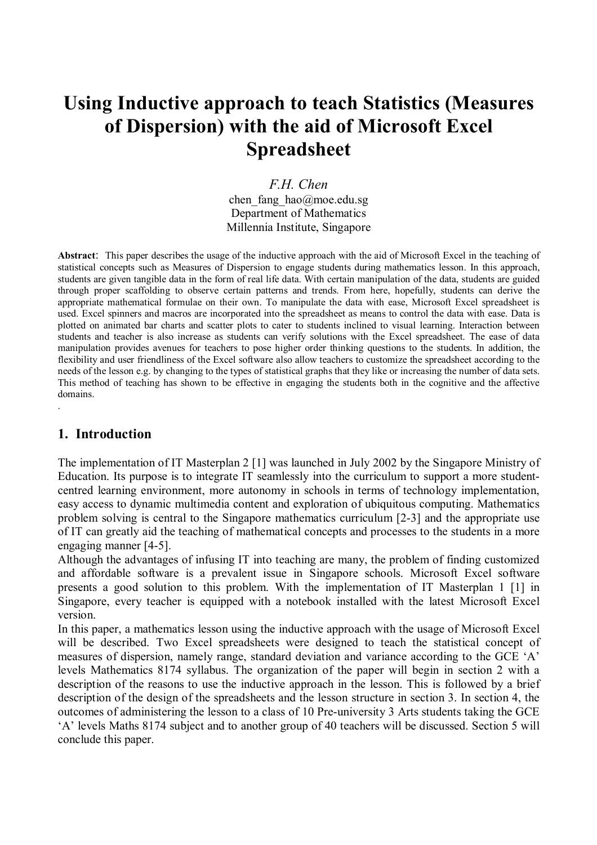# **Using Inductive approach to teach Statistics (Measures of Dispersion) with the aid of Microsoft Excel Spreadsheet**

*F.H. Chen*  chen fang hao@moe.edu.sg Department of Mathematics Millennia Institute, Singapore

**Abstract**: This paper describes the usage of the inductive approach with the aid of Microsoft Excel in the teaching of statistical concepts such as Measures of Dispersion to engage students during mathematics lesson. In this approach, students are given tangible data in the form of real life data. With certain manipulation of the data, students are guided through proper scaffolding to observe certain patterns and trends. From here, hopefully, students can derive the appropriate mathematical formulae on their own. To manipulate the data with ease, Microsoft Excel spreadsheet is used. Excel spinners and macros are incorporated into the spreadsheet as means to control the data with ease. Data is plotted on animated bar charts and scatter plots to cater to students inclined to visual learning. Interaction between students and teacher is also increase as students can verify solutions with the Excel spreadsheet. The ease of data manipulation provides avenues for teachers to pose higher order thinking questions to the students. In addition, the flexibility and user friendliness of the Excel software also allow teachers to customize the spreadsheet according to the needs of the lesson e.g. by changing to the types of statistical graphs that they like or increasing the number of data sets. This method of teaching has shown to be effective in engaging the students both in the cognitive and the affective domains. .

## **1. Introduction**

The implementation of IT Masterplan 2 [1] was launched in July 2002 by the Singapore Ministry of Education. Its purpose is to integrate IT seamlessly into the curriculum to support a more studentcentred learning environment, more autonomy in schools in terms of technology implementation, easy access to dynamic multimedia content and exploration of ubiquitous computing. Mathematics problem solving is central to the Singapore mathematics curriculum [2-3] and the appropriate use of IT can greatly aid the teaching of mathematical concepts and processes to the students in a more engaging manner [4-5].

Although the advantages of infusing IT into teaching are many, the problem of finding customized and affordable software is a prevalent issue in Singapore schools. Microsoft Excel software presents a good solution to this problem. With the implementation of IT Masterplan 1 [1] in Singapore, every teacher is equipped with a notebook installed with the latest Microsoft Excel version.

In this paper, a mathematics lesson using the inductive approach with the usage of Microsoft Excel will be described. Two Excel spreadsheets were designed to teach the statistical concept of measures of dispersion, namely range, standard deviation and variance according to the GCE  $A$ <sup> $\cdot$ </sup> levels Mathematics 8174 syllabus. The organization of the paper will begin in section 2 with a description of the reasons to use the inductive approach in the lesson. This is followed by a brief description of the design of the spreadsheets and the lesson structure in section 3. In section 4, the outcomes of administering the lesson to a class of 10 Pre-university 3 Arts students taking the GCE ëAí levels Maths 8174 subject and to another group of 40 teachers will be discussed. Section 5 will conclude this paper.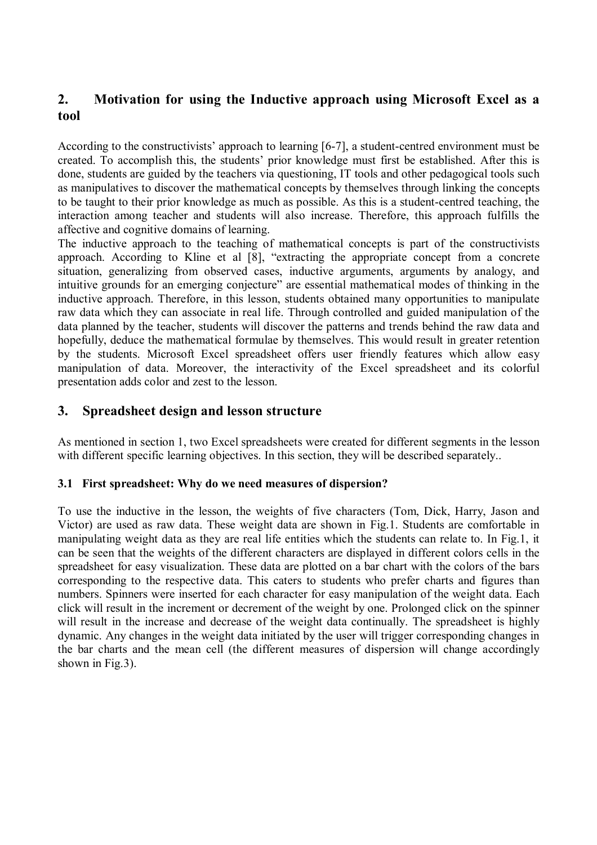## **2. Motivation for using the Inductive approach using Microsoft Excel as a tool**

According to the constructivists' approach to learning [6-7], a student-centred environment must be created. To accomplish this, the students' prior knowledge must first be established. After this is done, students are guided by the teachers via questioning, IT tools and other pedagogical tools such as manipulatives to discover the mathematical concepts by themselves through linking the concepts to be taught to their prior knowledge as much as possible. As this is a student-centred teaching, the interaction among teacher and students will also increase. Therefore, this approach fulfills the affective and cognitive domains of learning.

The inductive approach to the teaching of mathematical concepts is part of the constructivists approach. According to Kline et al  $[8]$ , "extracting the appropriate concept from a concrete situation, generalizing from observed cases, inductive arguments, arguments by analogy, and intuitive grounds for an emerging conjecture" are essential mathematical modes of thinking in the inductive approach. Therefore, in this lesson, students obtained many opportunities to manipulate raw data which they can associate in real life. Through controlled and guided manipulation of the data planned by the teacher, students will discover the patterns and trends behind the raw data and hopefully, deduce the mathematical formulae by themselves. This would result in greater retention by the students. Microsoft Excel spreadsheet offers user friendly features which allow easy manipulation of data. Moreover, the interactivity of the Excel spreadsheet and its colorful presentation adds color and zest to the lesson.

## **3. Spreadsheet design and lesson structure**

As mentioned in section 1, two Excel spreadsheets were created for different segments in the lesson with different specific learning objectives. In this section, they will be described separately..

### **3.1 First spreadsheet: Why do we need measures of dispersion?**

To use the inductive in the lesson, the weights of five characters (Tom, Dick, Harry, Jason and Victor) are used as raw data. These weight data are shown in Fig.1. Students are comfortable in manipulating weight data as they are real life entities which the students can relate to. In Fig.1, it can be seen that the weights of the different characters are displayed in different colors cells in the spreadsheet for easy visualization. These data are plotted on a bar chart with the colors of the bars corresponding to the respective data. This caters to students who prefer charts and figures than numbers. Spinners were inserted for each character for easy manipulation of the weight data. Each click will result in the increment or decrement of the weight by one. Prolonged click on the spinner will result in the increase and decrease of the weight data continually. The spreadsheet is highly dynamic. Any changes in the weight data initiated by the user will trigger corresponding changes in the bar charts and the mean cell (the different measures of dispersion will change accordingly shown in Fig.3).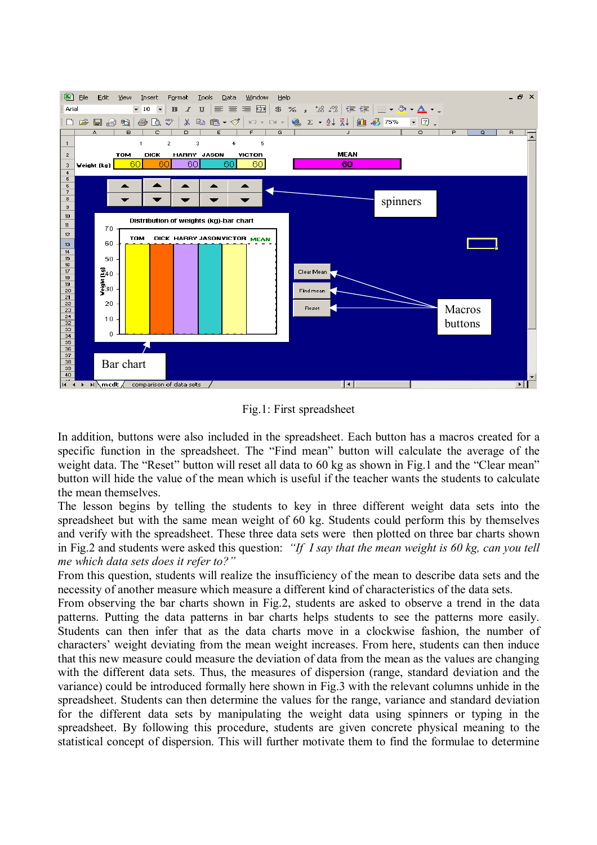

Fig.1: First spreadsheet

In addition, buttons were also included in the spreadsheet. Each button has a macros created for a specific function in the spreadsheet. The "Find mean" button will calculate the average of the weight data. The "Reset" button will reset all data to 60 kg as shown in Fig.1 and the "Clear mean" button will hide the value of the mean which is useful if the teacher wants the students to calculate the mean themselves.

The lesson begins by telling the students to key in three different weight data sets into the spreadsheet but with the same mean weight of 60 kg. Students could perform this by themselves and verify with the spreadsheet. These three data sets were then plotted on three bar charts shown in Fig.2 and students were asked this question: *'If I say that the mean weight is 60 kg, can you tell me which data sets does it refer to?*"

From this question, students will realize the insufficiency of the mean to describe data sets and the necessity of another measure which measure a different kind of characteristics of the data sets.

From observing the bar charts shown in Fig.2, students are asked to observe a trend in the data patterns. Putting the data patterns in bar charts helps students to see the patterns more easily. Students can then infer that as the data charts move in a clockwise fashion, the number of characters' weight deviating from the mean weight increases. From here, students can then induce that this new measure could measure the deviation of data from the mean as the values are changing with the different data sets. Thus, the measures of dispersion (range, standard deviation and the variance) could be introduced formally here shown in Fig.3 with the relevant columns unhide in the spreadsheet. Students can then determine the values for the range, variance and standard deviation for the different data sets by manipulating the weight data using spinners or typing in the spreadsheet. By following this procedure, students are given concrete physical meaning to the statistical concept of dispersion. This will further motivate them to find the formulae to determine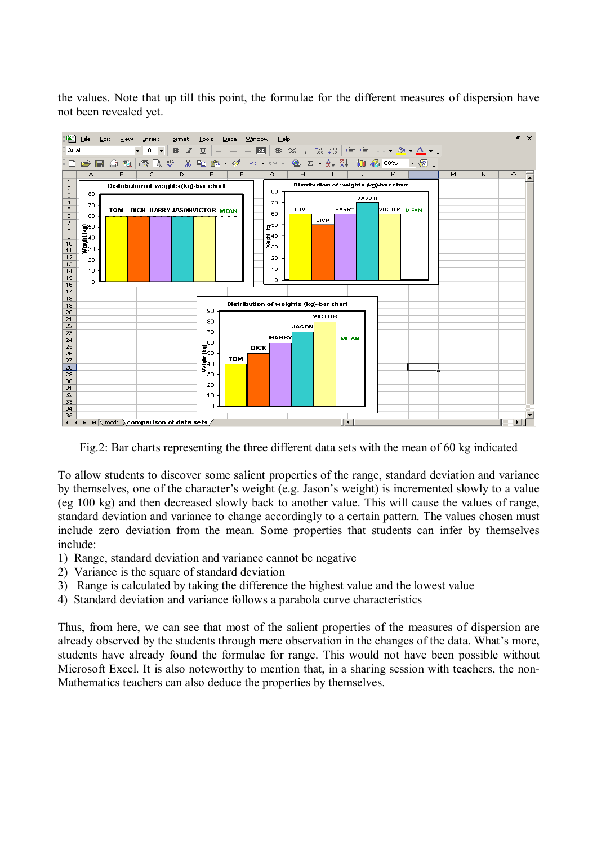the values. Note that up till this point, the formulae for the different measures of dispersion have not been revealed yet.



Fig.2: Bar charts representing the three different data sets with the mean of 60 kg indicated

To allow students to discover some salient properties of the range, standard deviation and variance by themselves, one of the character's weight (e.g. Jason's weight) is incremented slowly to a value (eg 100 kg) and then decreased slowly back to another value. This will cause the values of range, standard deviation and variance to change accordingly to a certain pattern. The values chosen must include zero deviation from the mean. Some properties that students can infer by themselves include:

- 1) Range, standard deviation and variance cannot be negative
- 2) Variance is the square of standard deviation
- 3) Range is calculated by taking the difference the highest value and the lowest value
- 4) Standard deviation and variance follows a parabola curve characteristics

Thus, from here, we can see that most of the salient properties of the measures of dispersion are already observed by the students through mere observation in the changes of the data. What's more, students have already found the formulae for range. This would not have been possible without Microsoft Excel. It is also noteworthy to mention that, in a sharing session with teachers, the non-Mathematics teachers can also deduce the properties by themselves.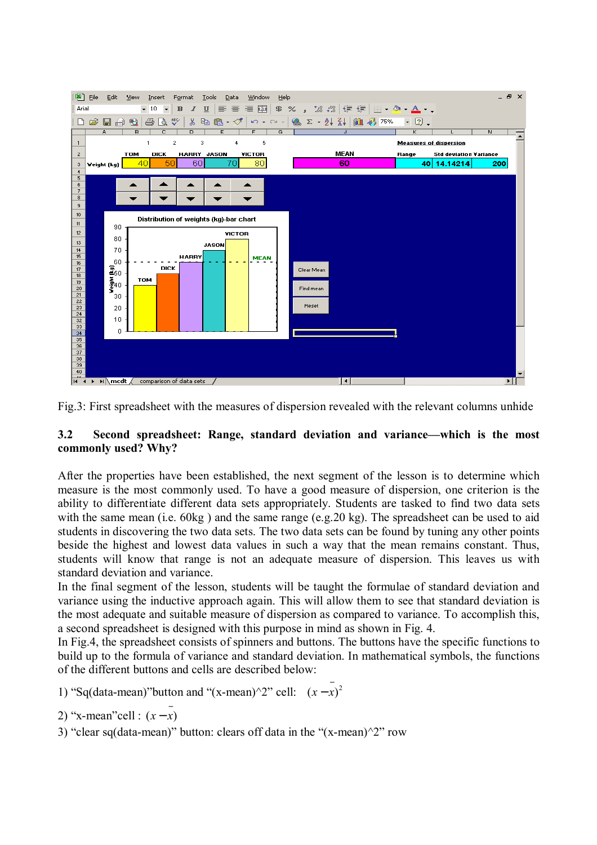

Fig.3: First spreadsheet with the measures of dispersion revealed with the relevant columns unhide

#### **3.2** Second spreadsheet: Range, standard deviation and variance—which is the most **commonly used? Why?**

After the properties have been established, the next segment of the lesson is to determine which measure is the most commonly used. To have a good measure of dispersion, one criterion is the ability to differentiate different data sets appropriately. Students are tasked to find two data sets with the same mean (i.e. 60kg) and the same range (e.g. 20 kg). The spreadsheet can be used to aid students in discovering the two data sets. The two data sets can be found by tuning any other points beside the highest and lowest data values in such a way that the mean remains constant. Thus, students will know that range is not an adequate measure of dispersion. This leaves us with standard deviation and variance.

In the final segment of the lesson, students will be taught the formulae of standard deviation and variance using the inductive approach again. This will allow them to see that standard deviation is the most adequate and suitable measure of dispersion as compared to variance. To accomplish this, a second spreadsheet is designed with this purpose in mind as shown in Fig. 4.

In Fig.4, the spreadsheet consists of spinners and buttons. The buttons have the specific functions to build up to the formula of variance and standard deviation. In mathematical symbols, the functions of the different buttons and cells are described below:

```
1) "Sq(data-mean)"button and "(x-mean)^2" cell: (x - \overline{x})^2
```

```
2) "x-mean"cell : (x-x)
```
3) "clear sq(data-mean)" button: clears off data in the " $(x-mean)^2$ " row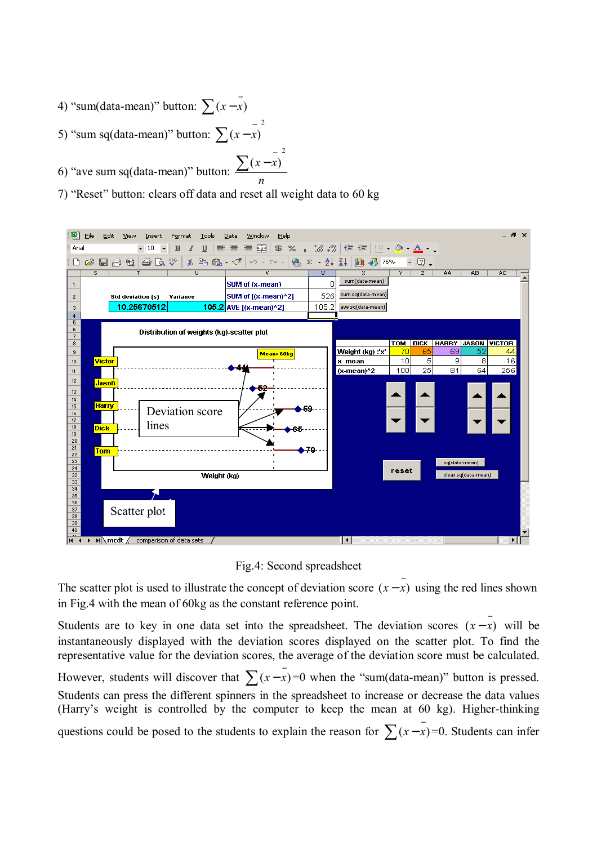- 4) "sum(data-mean)" button:  $\sum (x \overline{x})$
- 5) "sum sq(data-mean)" button: 2  $\sum (x - \overline{x})$
- 6) "ave sum sq(data-mean)" button: 2  $(x - x)$ *n*  $\sum (x - x)$
- 7) "Reset" button: clears off data and reset all weight data to 60 kg



Fig.4: Second spreadsheet

The scatter plot is used to illustrate the concept of deviation score  $(x - \overline{x})$  using the red lines shown in Fig.4 with the mean of 60kg as the constant reference point.

Students are to key in one data set into the spreadsheet. The deviation scores  $(x - \overline{x})$  will be instantaneously displayed with the deviation scores displayed on the scatter plot. To find the representative value for the deviation scores, the average of the deviation score must be calculated. However, students will discover that  $\sum (x - \bar{x}) = 0$  when the "sum(data-mean)" button is pressed. Students can press the different spinners in the spreadsheet to increase or decrease the data values (Harry's weight is controlled by the computer to keep the mean at 60 kg). Higher-thinking questions could be posed to the students to explain the reason for  $\sum (x - \overline{x}) = 0$ . Students can infer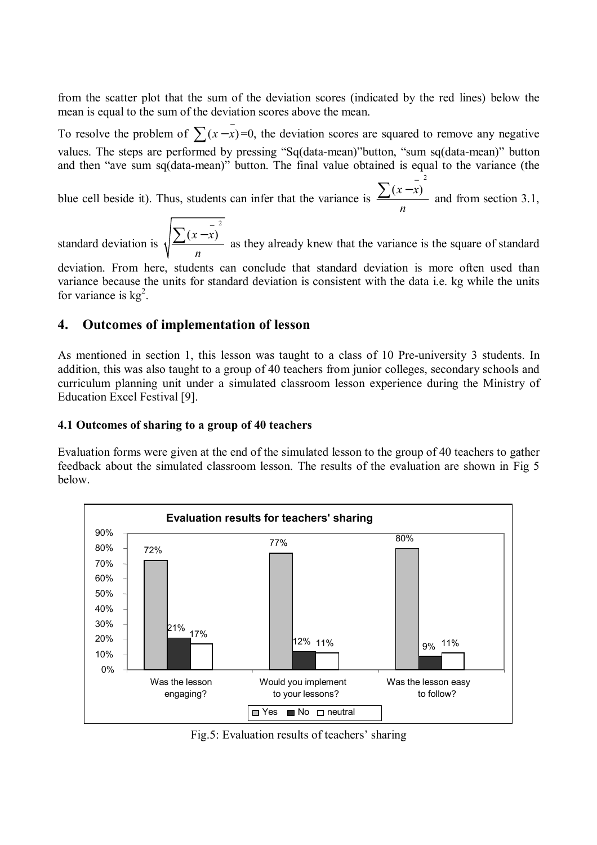from the scatter plot that the sum of the deviation scores (indicated by the red lines) below the mean is equal to the sum of the deviation scores above the mean.

To resolve the problem of  $\sum (x - \overline{x}) = 0$ , the deviation scores are squared to remove any negative values. The steps are performed by pressing "Sq(data-mean)" button, "sum sq(data-mean)" button and then "ave sum sq(data-mean)" button. The final value obtained is equal to the variance (the 2

blue cell beside it). Thus, students can infer that the variance is  $(x - x)$ *n*  $\frac{\sum (x - x)^2}{x}$  and from section 3.1,

standard deviation is 2  $(x - x)$ *n*  $\frac{\sum (x - \overline{x})^2}{x}$  as they already knew that the variance is the square of standard

deviation. From here, students can conclude that standard deviation is more often used than variance because the units for standard deviation is consistent with the data i.e. kg while the units for variance is  $kg<sup>2</sup>$ .

## **4. Outcomes of implementation of lesson**

As mentioned in section 1, this lesson was taught to a class of 10 Pre-university 3 students. In addition, this was also taught to a group of 40 teachers from junior colleges, secondary schools and curriculum planning unit under a simulated classroom lesson experience during the Ministry of Education Excel Festival [9].

#### **4.1 Outcomes of sharing to a group of 40 teachers**

Evaluation forms were given at the end of the simulated lesson to the group of 40 teachers to gather feedback about the simulated classroom lesson. The results of the evaluation are shown in Fig 5 below.



Fig.5: Evaluation results of teachers' sharing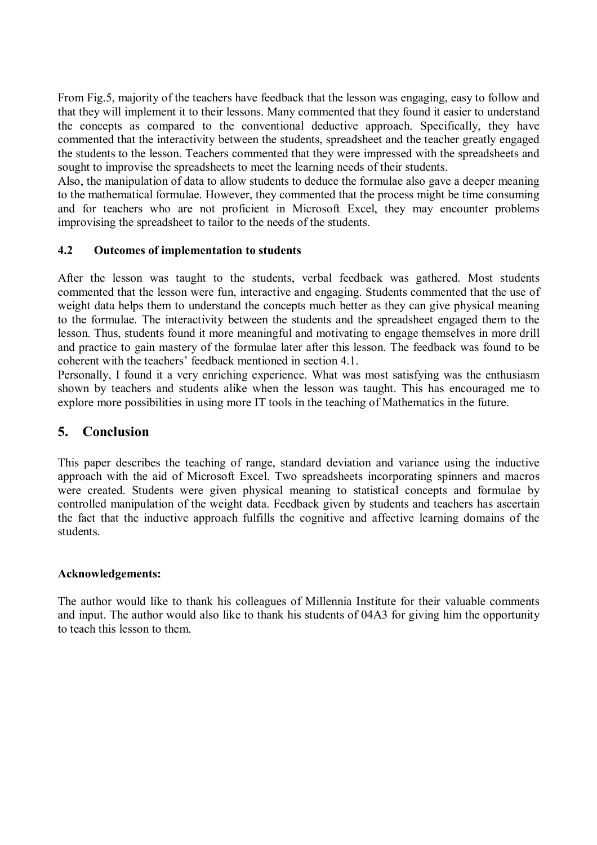From Fig.5, majority of the teachers have feedback that the lesson was engaging, easy to follow and that they will implement it to their lessons. Many commented that they found it easier to understand the concepts as compared to the conventional deductive approach. Specifically, they have commented that the interactivity between the students, spreadsheet and the teacher greatly engaged the students to the lesson. Teachers commented that they were impressed with the spreadsheets and sought to improvise the spreadsheets to meet the learning needs of their students.

Also, the manipulation of data to allow students to deduce the formulae also gave a deeper meaning to the mathematical formulae. However, they commented that the process might be time consuming and for teachers who are not proficient in Microsoft Excel, they may encounter problems improvising the spreadsheet to tailor to the needs of the students.

#### **4.2 Outcomes of implementation to students**

After the lesson was taught to the students, verbal feedback was gathered. Most students commented that the lesson were fun, interactive and engaging. Students commented that the use of weight data helps them to understand the concepts much better as they can give physical meaning to the formulae. The interactivity between the students and the spreadsheet engaged them to the lesson. Thus, students found it more meaningful and motivating to engage themselves in more drill and practice to gain mastery of the formulae later after this lesson. The feedback was found to be coherent with the teachers' feedback mentioned in section 4.1.

Personally, I found it a very enriching experience. What was most satisfying was the enthusiasm shown by teachers and students alike when the lesson was taught. This has encouraged me to explore more possibilities in using more IT tools in the teaching of Mathematics in the future.

## **5. Conclusion**

This paper describes the teaching of range, standard deviation and variance using the inductive approach with the aid of Microsoft Excel. Two spreadsheets incorporating spinners and macros were created. Students were given physical meaning to statistical concepts and formulae by controlled manipulation of the weight data. Feedback given by students and teachers has ascertain the fact that the inductive approach fulfills the cognitive and affective learning domains of the students.

#### **Acknowledgements:**

The author would like to thank his colleagues of Millennia Institute for their valuable comments and input. The author would also like to thank his students of 04A3 for giving him the opportunity to teach this lesson to them.